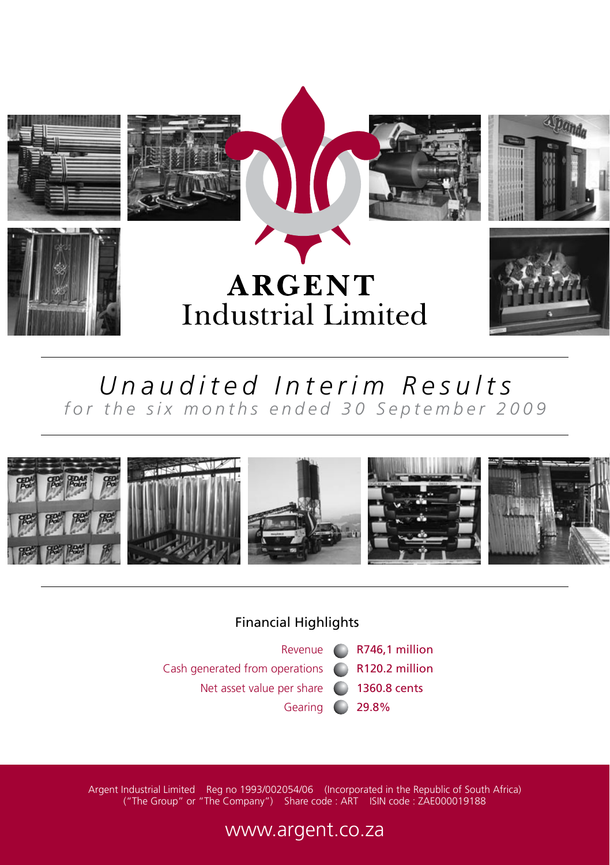

# *Unaudited Interim Results for the six months ended 30 September 2009*



# Financial Highlights

Revenue ( R746,1 million Cash generated from operations R120.2 million Net asset value per share (201360.8 cents Gearing 29.8%

Argent Industrial Limited Reg no 1993/002054/06 (Incorporated in the Republic of South Africa) ("The Group" or "The Company") Share code : ART ISIN code : ZAE000019188

# www.argent.co.za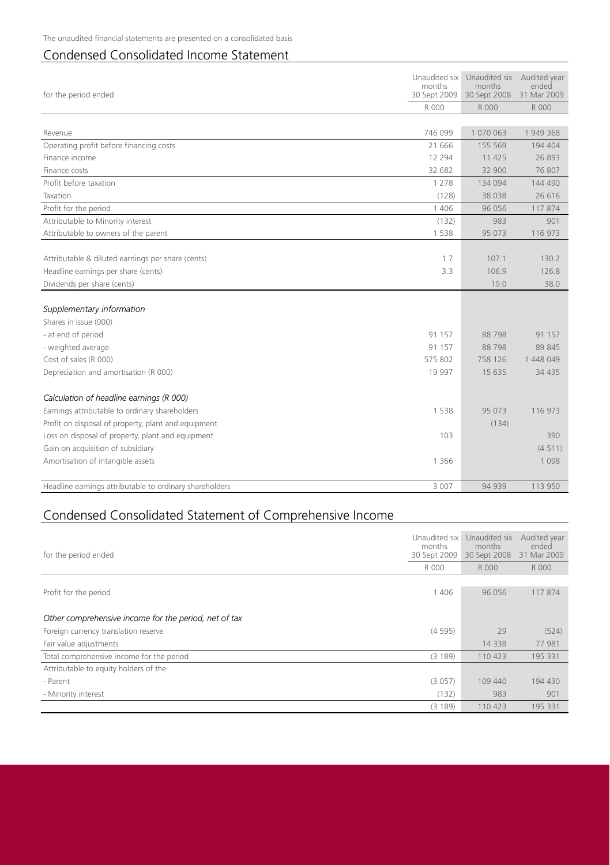# Condensed Consolidated Income Statement

| for the period ended                                    | Unaudited six<br>months | Unaudited six<br>months<br>30 Sept 2009 30 Sept 2008 | Audited vear<br>ended<br>31 Mar 2009 |
|---------------------------------------------------------|-------------------------|------------------------------------------------------|--------------------------------------|
|                                                         | R 000                   | R 000                                                | R 000                                |
|                                                         |                         |                                                      |                                      |
| Revenue                                                 | 746 099                 | 1 070 063                                            | 1949368                              |
| Operating profit before financing costs                 | 21 666                  | 155 569                                              | 194 404                              |
| Finance income                                          | 12 2 9 4                | 11 425                                               | 26893                                |
| Finance costs                                           | 32 682                  | 32 900                                               | 76 807                               |
| Profit before taxation                                  | 1 2 7 8                 | 134 094                                              | 144 490                              |
| Taxation                                                | (128)                   | 38 0 38                                              | 26 616                               |
| Profit for the period                                   | 1 4 0 6                 | 96 056                                               | 117874                               |
| Attributable to Minority interest                       | (132)                   | 983                                                  | 901                                  |
| Attributable to owners of the parent                    | 1538                    | 95 073                                               | 116 973                              |
|                                                         |                         |                                                      |                                      |
| Attributable & diluted earnings per share (cents)       | 1.7                     | 107.1                                                | 130.2                                |
| Headline earnings per share (cents)                     | 3.3                     | 106.9                                                | 126.8                                |
| Dividends per share (cents)                             |                         | 19.0                                                 | 38.0                                 |
|                                                         |                         |                                                      |                                      |
| Supplementary information                               |                         |                                                      |                                      |
| Shares in issue (000)                                   |                         |                                                      |                                      |
| - at end of period                                      | 91 157                  | 88798                                                | 91 157                               |
| - weighted average                                      | 91 157                  | 88 798                                               | 89 845                               |
| Cost of sales (R 000)                                   | 575 802                 | 758 126                                              | 1 448 049                            |
| Depreciation and amortisation (R 000)                   | 19 997                  | 15 635                                               | 34 4 35                              |
|                                                         |                         |                                                      |                                      |
| Calculation of headline earnings (R 000)                |                         |                                                      |                                      |
| Earnings attributable to ordinary shareholders          | 1538                    | 95 073                                               | 116 973                              |
| Profit on disposal of property, plant and equipment     |                         | (134)                                                |                                      |
| Loss on disposal of property, plant and equipment       | 103                     |                                                      | 390                                  |
| Gain on acquisition of subsidiary                       |                         |                                                      | (4511)                               |
| Amortisation of intangible assets                       | 1 3 6 6                 |                                                      | 1 0 9 8                              |
|                                                         |                         |                                                      |                                      |
| Headline earnings attributable to ordinary shareholders | 3 0 0 7                 | 94 939                                               | 113 950                              |

# Condensed Consolidated Statement of Comprehensive Income

| for the period ended                                  |         | Unaudited six<br>months<br>30 Sept 2008 | Audited year<br>ended<br>31 Mar 2009 |
|-------------------------------------------------------|---------|-----------------------------------------|--------------------------------------|
|                                                       | R 000   | R 000                                   | R 000                                |
|                                                       |         |                                         |                                      |
| Profit for the period                                 | 1 4 0 6 | 96 056                                  | 117874                               |
|                                                       |         |                                         |                                      |
| Other comprehensive income for the period, net of tax |         |                                         |                                      |
| Foreign currency translation reserve                  | (4595)  | 29                                      | (524)                                |
| Fair value adjustments                                |         | 14 3 38                                 | 77 981                               |
| Total comprehensive income for the period             | (3 189) | 110 423                                 | 195 331                              |
| Attributable to equity holders of the                 |         |                                         |                                      |
| - Parent                                              | (3057)  | 109 440                                 | 194 430                              |
| - Minority interest                                   | (132)   | 983                                     | 901                                  |
|                                                       | (3 189) | 110 423                                 | 195 331                              |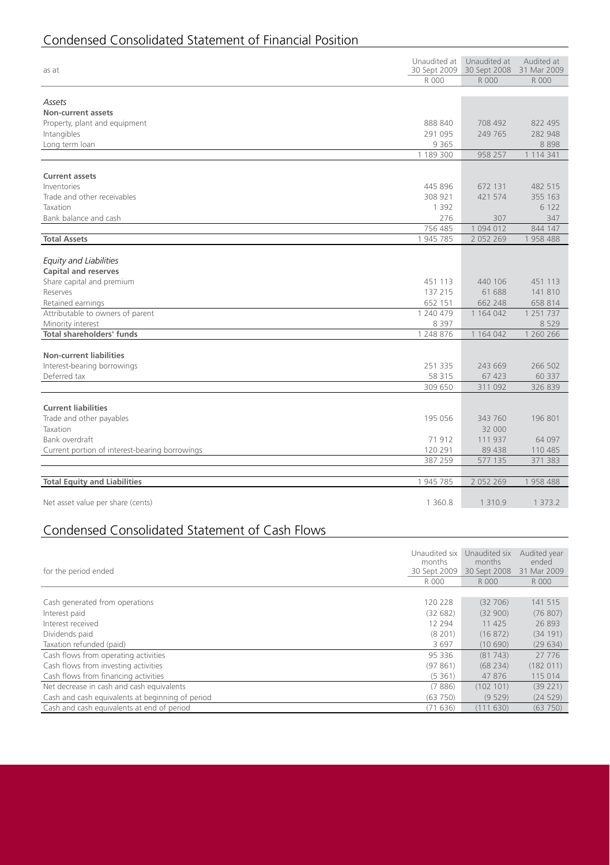# Condensed Consolidated Statement of Financial Position

| as at                                          | Unaudited at<br>30 Sept 2009 | Unaudited at<br>30 Sept 2008 | Audited at<br>31 Mar 2009 |
|------------------------------------------------|------------------------------|------------------------------|---------------------------|
|                                                | R 000                        | R 000                        | R 000                     |
|                                                |                              |                              |                           |
| Assets                                         |                              |                              |                           |
| Non-current assets                             |                              |                              |                           |
| Property, plant and equipment                  | 888 840                      | 708 492                      | 822 495                   |
| Intangibles                                    | 291 095                      | 249 765                      | 282 948                   |
| Long term loan                                 | 9 3 6 5                      |                              | 8898                      |
|                                                | 1 189 300                    | 958 257                      | 1 1 1 4 3 4 1             |
| <b>Current assets</b>                          |                              |                              |                           |
| Inventories                                    | 445 896                      | 672 131                      | 482 515                   |
| Trade and other receivables                    | 308 921                      | 421 574                      | 355 163                   |
| Taxation                                       | 1 3 9 2                      |                              | 6 1 2 2                   |
| Bank balance and cash                          | 276                          | 307                          | 347                       |
|                                                | 756 485                      | 1094012                      | 844 147                   |
| <b>Total Assets</b>                            | 1 945 785                    | 2 0 5 2 2 6 9                | 1958 488                  |
|                                                |                              |                              |                           |
| <b>Equity and Liabilities</b>                  |                              |                              |                           |
| <b>Capital and reserves</b>                    |                              |                              |                           |
| Share capital and premium                      | 451 113                      | 440 106                      | 451 113                   |
| Reserves                                       | 137 215                      | 61 688                       | 141 810                   |
| Retained earnings                              | 652 151                      | 662 248                      | 658 814                   |
| Attributable to owners of parent               | 1 240 479                    | 1 164 042                    | 1 2 5 1 7 3 7             |
| Minority interest                              | 8 3 9 7                      |                              | 8 5 2 9                   |
| <b>Total shareholders' funds</b>               | 1 248 876                    | 1 1 64 0 42                  | 1 260 266                 |
| <b>Non-current liabilities</b>                 |                              |                              |                           |
| Interest-bearing borrowings                    | 251 335                      | 243 669                      | 266 502                   |
| Deferred tax                                   | 58 315                       | 67 423                       | 60 337                    |
|                                                | 309 650                      | 311 092                      | 326 839                   |
|                                                |                              |                              |                           |
| <b>Current liabilities</b>                     |                              |                              |                           |
| Trade and other payables                       | 195 056                      | 343 760                      | 196 801                   |
| Taxation                                       |                              | 32 000                       |                           |
| Bank overdraft                                 | 71912                        | 111 937                      | 64 097                    |
| Current portion of interest-bearing borrowings | 120 291                      | 89 438                       | 110 485                   |
|                                                | 387 259                      | 577 135                      | 371 383                   |
|                                                |                              |                              |                           |
| <b>Total Equity and Liabilities</b>            | 1 945 785                    | 2 0 5 2 2 6 9                | 1958488                   |
| Net asset value per share (cents)              | 1 3 6 0 . 8                  | 1 3 1 0.9                    | 1 3 7 3 . 2               |
|                                                |                              |                              |                           |

# Condensed Consolidated Statement of Cash Flows

| for the period ended                             |          | Unaudited six<br>months<br>30 Sept 2008 | Audited year<br>ended<br>31 Mar 2009 |
|--------------------------------------------------|----------|-----------------------------------------|--------------------------------------|
|                                                  | R 000    | R 000                                   | R 000                                |
|                                                  |          |                                         |                                      |
| Cash generated from operations                   | 120 228  | (32706)                                 | 141 515                              |
| Interest paid                                    | (32682)  | (32900)                                 | (76807)                              |
| Interest received                                | 12 2 9 4 | 11 425                                  | 26893                                |
| Dividends paid                                   | (8, 201) | (16872)                                 | (34191)                              |
| Taxation refunded (paid)                         | 3697     | (10690)                                 | (29634)                              |
| Cash flows from operating activities             | 95 336   | (81743)                                 | 27 776                               |
| Cash flows from investing activities             | (97861)  | (68234)                                 | (182011)                             |
| Cash flows from financing activities             | (5361)   | 47876                                   | 115 014                              |
| Net decrease in cash and cash equivalents        | (7886)   | (102 101)                               | (39 221)                             |
| Cash and cash equivalents at beginning of period | (63750)  | (9529)                                  | (24529)                              |
| Cash and cash equivalents at end of period       | (71636)  | (111630)                                | (63750)                              |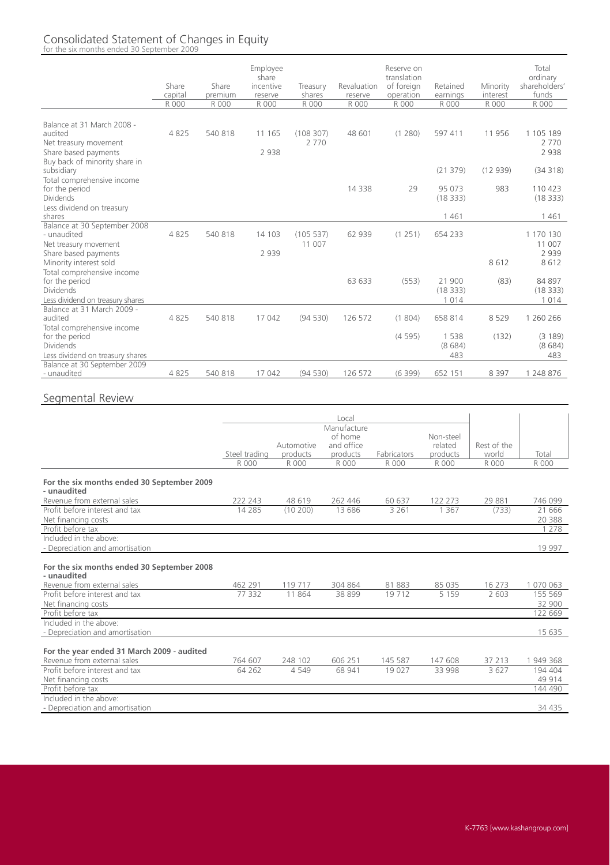#### Consolidated Statement of Changes in Equity for the six months ended 30 September 2009

Share capital<br>R 000 Share premium<br>R 000 Employee share incentive reserve<br>R 000 Treasury  $\frac{\text{shares}}{\text{R}000}$ Revaluation reserve<br>R 000 Reserve on translation of foreign operation<br>R 000 Retained earnings<br>R 000 Minority interes<br>R 000 Total ordinary shareholders' funds<br>R 000 R 000 R 000 R 000 R 000 R 000 R 000 R 000 R 000 R 000 Balance at 31 March 2008 audited 4 825 540 818 11 165 (108 307) 48 601 (1 280) 597 411 11 956 1 105 189 Net treasury movement 2 770<br>
2 938 2 938 2 938 Share based payments Buy back of minority share in<br>subsidiary subsidiary (21 379) (12 939) (34 318) Total comprehensive income<br>for the period for the period 14 338 29 95 073 983 110 423 Dividends (18 333) (18 333) Less dividend on treasury<br>shares shares 1461 - 1461 - 1461 - 1462 - 1470 - 1482 - 1484 - 1484 - 1484 - 1484 - 1484 - 1484 - 1485 - 1487 - 1487 Balance at 30 September 2008<br>- unaudited - unaudited 4 825 540 818 14 103 (105 537) 62 939 (1 251) 654 233 1 170 130 Net treasury movement 11 007<br>
11 007 Share based payments 2 939 2 939 Share based payments **2 939** 2 939 2 939 2 939 2 939 2 939 2 939 2 939 2 939 2 939 2 939 2 939 2 939 2 939 2 939 2 939 2 939 2 939 2 939 2 939 2 939 2 939 2 939 2 939 2 939 2 939 2 939 2 939 2 939 2 939 2 939 2 939 2 939 2 Minority interest sold Total comprehensive income for the period 63 633 (553) 21 900 (83) 84 897 Dividends (18 333) (18 333) Less dividend on treasury shares the control of the control of the control of the control of the control of the control of the control of the control of the control of the control of the control of the control of the contr Balance at 31 March 2009 audited 4 825 540 818 17 042 (94 530) 126 572 (1 804) 658 814 8 529 1 260 266 Total comprehensive income<br>for the period for the period (4 595) 1 538 (132) (3 189) Dividends (8 684) (8 684) Less dividend on treasury shares 483 483 Balance at 30 September 2009 - unaudited 4 825 540 818 17 042 (94 530) 126 572 (6 399) 652 151 8 397 1 248 876

#### Segmental Review

|                                                           |               |            | Local       |             |           |             |           |
|-----------------------------------------------------------|---------------|------------|-------------|-------------|-----------|-------------|-----------|
|                                                           |               |            | Manufacture |             |           |             |           |
|                                                           |               |            | of home     |             | Non-steel |             |           |
|                                                           |               | Automotive | and office  |             | related   | Rest of the |           |
|                                                           | Steel trading | products   | products    | Fabricators | products  | world       | Total     |
|                                                           | R 000         | R 000      | R 000       | R 000       | R 000     | R 000       | R 000     |
| For the six months ended 30 September 2009<br>- unaudited |               |            |             |             |           |             |           |
| Revenue from external sales                               | 222 243       | 48 619     | 262 446     | 60 637      | 122 273   | 29 881      | 746 099   |
| Profit before interest and tax                            | 14 2 8 5      | (10200)    | 13 686      | 3 2 6 1     | 1 3 6 7   | (733)       | 21 666    |
| Net financing costs                                       |               |            |             |             |           |             | 20 388    |
| Profit before tax                                         |               |            |             |             |           |             | 1 2 7 8   |
| Included in the above:                                    |               |            |             |             |           |             |           |
| - Depreciation and amortisation                           |               |            |             |             |           |             | 19 9 9 7  |
| For the six months ended 30 September 2008<br>- unaudited |               |            |             |             |           |             |           |
| Revenue from external sales                               | 462 291       | 119 717    | 304 864     | 81 883      | 85 035    | 16 27 3     | 1 070 063 |
| Profit before interest and tax                            | 77 332        | 11864      | 38 899      | 19712       | 5159      | 2.603       | 155 569   |
| Net financing costs                                       |               |            |             |             |           |             | 32 900    |
| Profit before tax                                         |               |            |             |             |           |             | 122 669   |
| Included in the above:                                    |               |            |             |             |           |             |           |
| - Depreciation and amortisation                           |               |            |             |             |           |             | 15 635    |
| For the year ended 31 March 2009 - audited                |               |            |             |             |           |             |           |
| Revenue from external sales                               | 764 607       | 248 102    | 606 251     | 145 587     | 147 608   | 37 213      | 1949368   |
| Profit before interest and tax                            | 64 262        | 4 5 4 9    | 68 941      | 19 0 27     | 33 998    | 3 6 2 7     | 194 404   |
| Net financing costs                                       |               |            |             |             |           |             | 49 914    |
| Profit before tax                                         |               |            |             |             |           |             | 144 490   |
| Included in the above:<br>- Depreciation and amortisation |               |            |             |             |           |             | 34 4 35   |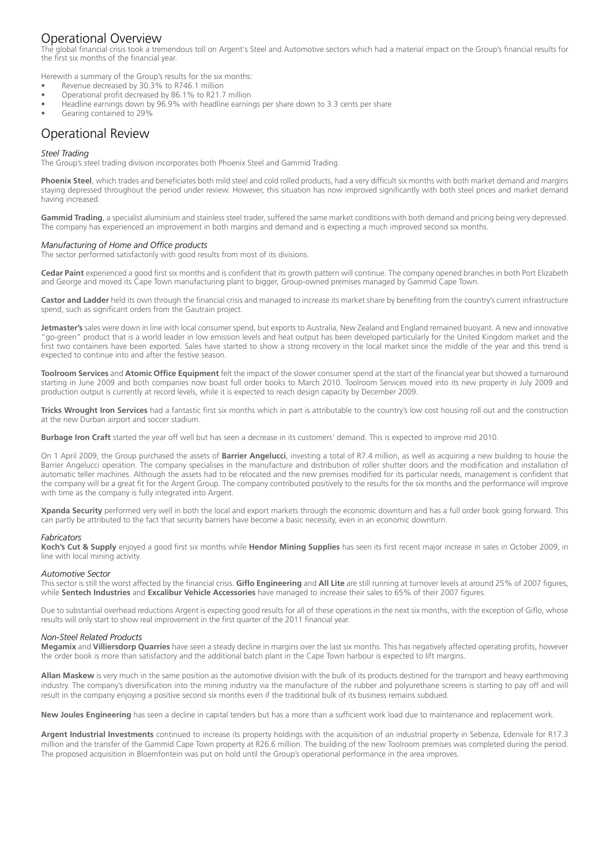## Operational Overview

The global financial crisis took a tremendous toll on Argent's Steel and Automotive sectors which had a material impact on the Group's financial results for the first six months of the financial year.

Herewith a summary of the Group's results for the six months:

- Revenue decreased by 30.3% to R746.1 million
- Operational profit decreased by 86.1% to R21.7 million
- Headline earnings down by 96.9% with headline earnings per share down to 3.3 cents per share
- Gearing contained to 29%

# Operational Review

#### *Steel Trading*

The Group's steel trading division incorporates both Phoenix Steel and Gammid Trading.

**Phoenix Steel**, which trades and beneficiates both mild steel and cold rolled products, had a very difficult six months with both market demand and margins staying depressed throughout the period under review. However, this situation has now improved significantly with both steel prices and market demand having increased.

**Gammid Trading**, a specialist aluminium and stainless steel trader, suffered the same market conditions with both demand and pricing being very depressed. The company has experienced an improvement in both margins and demand and is expecting a much improved second six months.

#### *Manufacturing of Home and Office products*

The sector performed satisfactorily with good results from most of its divisions.

**Cedar Paint** experienced a good first six months and is confident that its growth pattern will continue. The company opened branches in both Port Elizabeth and George and moved its Cape Town manufacturing plant to bigger, Group-owned premises managed by Gammid Cape Town.

Castor and Ladder held its own through the financial crisis and managed to increase its market share by benefiting from the country's current infrastructure spend, such as significant orders from the Gautrain project.

**Jetmaster's** sales were down in line with local consumer spend, but exports to Australia, New Zealand and England remained buoyant. A new and innovative "go-green" product that is a world leader in low emission levels and heat output has been developed particularly for the United Kingdom market and the first two containers have been exported. Sales have started to show a strong recovery in the local market since the middle of the year and this trend is expected to continue into and after the festive season.

**Toolroom Services** and **Atomic Office Equipment** felt the impact of the slower consumer spend at the start of the financial year but showed a turnaround starting in June 2009 and both companies now boast full order books to March 2010. Toolroom Services moved into its new property in July 2009 and production output is currently at record levels, while it is expected to reach design capacity by December 2009.

**Tricks Wrought Iron Services** had a fantastic first six months which in part is attributable to the country's low cost housing roll out and the construction at the new Durban airport and soccer stadium.

**Burbage Iron Craft** started the year off well but has seen a decrease in its customers' demand. This is expected to improve mid 2010.

On 1 April 2009, the Group purchased the assets of **Barrier Angelucci**, investing a total of R7.4 million, as well as acquiring a new building to house the Barrier Angelucci operation. The company specialises in the manufacture and distribution of roller shutter doors and the modification and installation of automatic teller machines. Although the assets had to be relocated and the new premises modified for its particular needs, management is confident that the company will be a great fit for the Argent Group. The company contributed positively to the results for the six months and the performance will improve with time as the company is fully integrated into Argent.

**Xpanda Security** performed very well in both the local and export markets through the economic downturn and has a full order book going forward. This can partly be attributed to the fact that security barriers have become a basic necessity, even in an economic downturn.

#### *Fabricators*

**Koch's Cut & Supply** enjoyed a good first six months while **Hendor Mining Supplies** has seen its first recent major increase in sales in October 2009, in line with local mining activity.

#### *Automotive Sector*

This sector is still the worst affected by the financial crisis. **Giflo Engineering** and **All Lite** are still running at turnover levels at around 25% of 2007 figures, while **Sentech Industries** and **Excalibur Vehicle Accessories** have managed to increase their sales to 65% of their 2007 figures.

Due to substantial overhead reductions Argent is expecting good results for all of these operations in the next six months, with the exception of Giflo, whose results will only start to show real improvement in the first quarter of the 2011 financial year.

#### *Non-Steel Related Products*

**Megamix** and **Villiersdorp Quarries** have seen a steady decline in margins over the last six months. This has negatively affected operating profits, however the order book is more than satisfactory and the additional batch plant in the Cape Town harbour is expected to lift margins.

**Allan Maskew** is very much in the same position as the automotive division with the bulk of its products destined for the transport and heavy earthmoving industry. The company's diversification into the mining industry via the manufacture of the rubber and polyurethane screens is starting to pay off and will result in the company enjoying a positive second six months even if the traditional bulk of its business remains subdued.

**New Joules Engineering** has seen a decline in capital tenders but has a more than a sufficient work load due to maintenance and replacement work.

**Argent Industrial Investments** continued to increase its property holdings with the acquisition of an industrial property in Sebenza, Edenvale for R17.3 million and the transfer of the Gammid Cape Town property at R26.6 million. The building of the new Toolroom premises was completed during the period. The proposed acquisition in Bloemfontein was put on hold until the Group's operational performance in the area improves.